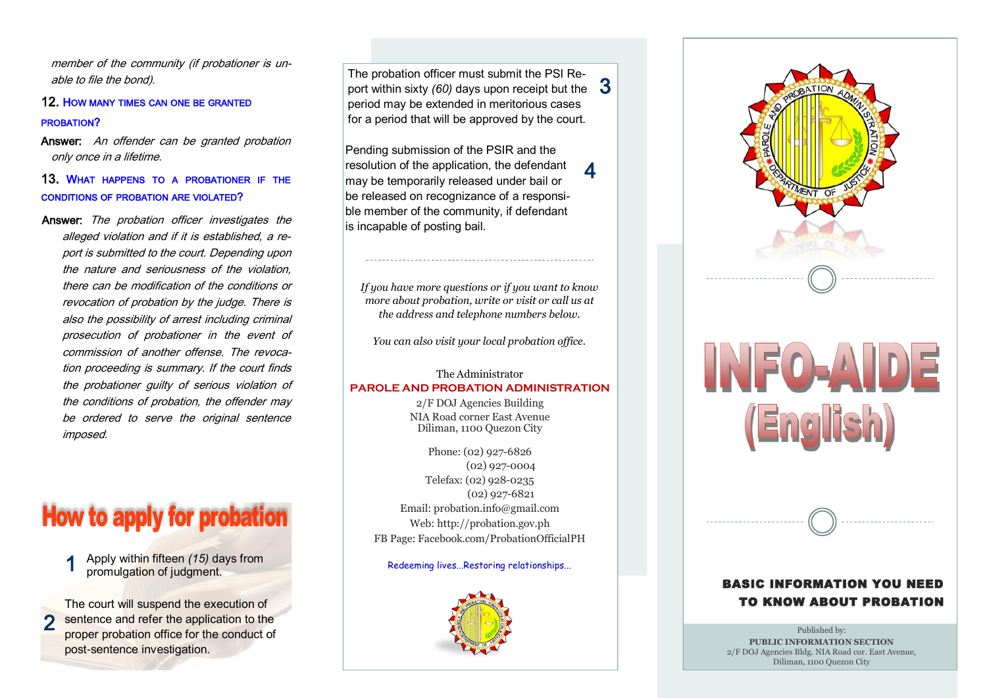member of the community (if probationer is unable to file the bond).

#### 12. HOW MANY TIMES CAN ONE BE GRANTED PROBATION?

Answer: An offender can be granted probation only once in a lifetime.

#### 13. WHAT HAPPENS TO <sup>A</sup> PROBATIONER IF THE CONDITIONS OF PROBATION ARE VIOLATED?

Answer: The probation officer investigates the alleged violation and if it is established, a report is submitted to the court. Depending upon the nature and seriousness of the violation, there can be modification of the conditions or revocation of probation by the judge. There is also the possibility of arrest including criminal prosecution of probationer in the event of commission of another offense. The revocation proceeding is summary. If the court finds the probationer guilty of serious violation of the conditions of probation, the offender may be ordered to serve the original sentence imposed.

## **How to apply for probation**

1 Apply within fifteen *(15)* days from promulgation of judgment.

2 The court will suspend the execution of sentence and refer the application to the proper probation office for the conduct of post-sentence investigation.

3 port within sixty *(60)* days upon receipt but the The probation officer must submit the PSI Reperiod may be extended in meritorious cases for a period that will be approved by the court.

Pending submission of the PSIR and the resolution of the application, the defendant may be temporarily released under bail or be released on recognizance of a responsible member of the community, if defendant is incapable of posting bail.

4

*If you have more questions or if you want to know more about probation, write or visit or call us at the address and telephone numbers below.*

*You can also visit your local probation office.* 

#### The Administrator **PAROLE AND PROBATION ADMINISTRATION**

2/F DOJ Agencies Building NIA Road corner East Avenue Diliman, 1100 Quezon City

Phone: (02) 927-6826 (02) 927-0004 Telefax: (02) 928-0235 (02) 927-6821 Email: probation.info@gmail.com Web: http://probation.gov.ph FB Page: Facebook.com/ProbationOfficialPH

#### Redeeming lives...Restoring relationships...





# (English)

#### **BASIC INFORMATION YOU NEED.** TO KNOW ABOUT PROBATION

Published by: **PUBLIC INFORMATION SECTION** 2/F DOJ Agencies Bldg. NIA Road cor. East Avenue, Diliman, 1100 Quezon City